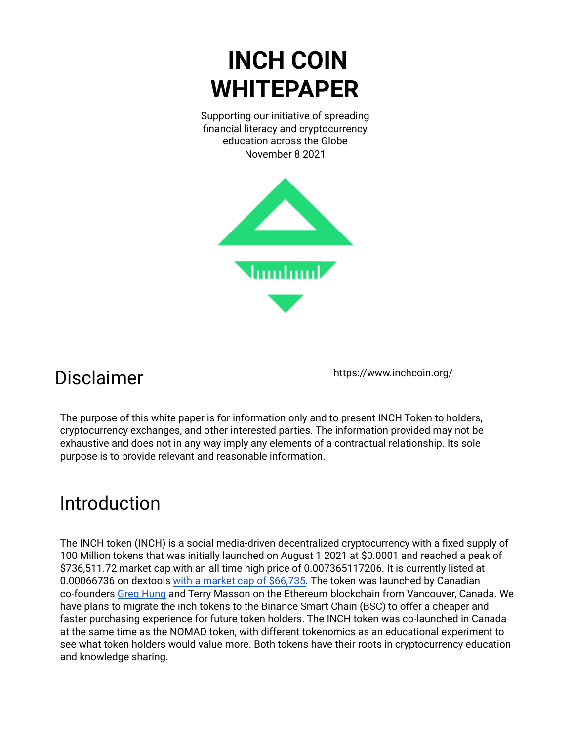# **INCH COIN WHITEPAPER**

Supporting our initiative of spreading financial literacy and cryptocurrency education across the Globe November 8 2021



### Disclaimer

https://www.inchcoin.org/

The purpose of this white paper is for information only and to present INCH Token to holders, cryptocurrency exchanges, and other interested parties. The information provided may not be exhaustive and does not in any way imply any elements of a contractual relationship. Its sole purpose is to provide relevant and reasonable information.

## Introduction

The INCH token (INCH) is a social media-driven decentralized cryptocurrency with a fixed supply of 100 Million tokens that was initially launched on August 1 2021 at \$0.0001 and reached a peak of \$736,511.72 market cap with an all time high price of 0.007365117206. It is currently listed at 0.00066736 on dextools with a market cap of [\\$66,735.](https://www.dextools.io/app/ether/pair-explorer/0x1001f208c30d180857a4ca9465c8017ca8362176) The token was launched by Canadian co-founders Greg [Hung](https://www.linkedin.com/in/greghung) and Terry Masson on the Ethereum blockchain from Vancouver, Canada. We have plans to migrate the inch tokens to the Binance Smart Chain (BSC) to offer a cheaper and faster purchasing experience for future token holders. The INCH token was co-launched in Canada at the same time as the NOMAD token, with different tokenomics as an educational experiment to see what token holders would value more. Both tokens have their roots in cryptocurrency education and knowledge sharing.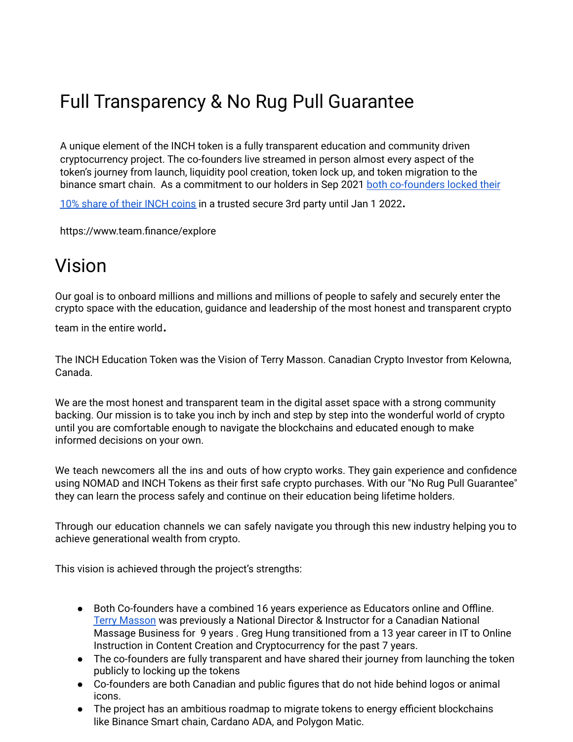# Full Transparency & No Rug Pull Guarantee

A unique element of the INCH token is a fully transparent education and community driven cryptocurrency project. The co-founders live streamed in person almost every aspect of the token's journey from launch, liquidity pool creation, token lock up, and token migration to the binance smart chain. As a commitment to our holders in Sep 2021 both [co-founders](https://www.inchcoin.org/post/canadian-cryptocurrency-creators-lock-their-founders-tokens-nomad-and-inch-until-jan-1-2022) locked their

10% [share](https://www.inchcoin.org/post/canadian-cryptocurrency-creators-lock-their-founders-tokens-nomad-and-inch-until-jan-1-2022) of their INCH coins in a trusted secure 3rd party until Jan 1 2022.

https://www.team.finance/explore

### Vision

Our goal is to onboard millions and millions and millions of people to safely and securely enter the crypto space with the education, guidance and leadership of the most honest and transparent crypto

team in the entire world.

The INCH Education Token was the Vision of Terry Masson. Canadian Crypto Investor from Kelowna, Canada.

We are the most honest and transparent team in the digital asset space with a strong community backing. Our mission is to take you inch by inch and step by step into the wonderful world of crypto until you are comfortable enough to navigate the blockchains and educated enough to make informed decisions on your own.

We teach newcomers all the ins and outs of how crypto works. They gain experience and confidence using NOMAD and INCH Tokens as their first safe crypto purchases. With our "No Rug Pull Guarantee" they can learn the process safely and continue on their education being lifetime holders.

Through our education channels we can safely navigate you through this new industry helping you to achieve generational wealth from crypto.

This vision is achieved through the project's strengths:

- Both Co-founders have a combined 16 years experience as Educators online and Offline. Terry [Masson](https://www.linkedin.com/in/terrymasson/) was previously a National Director & Instructor for a Canadian National Massage Business for 9 years . Greg Hung transitioned from a 13 year career in IT to Online Instruction in Content Creation and Cryptocurrency for the past 7 years.
- The co-founders are fully transparent and have shared their journey from launching the token publicly to locking up the tokens
- Co-founders are both Canadian and public figures that do not hide behind logos or animal icons.
- The project has an ambitious roadmap to migrate tokens to energy efficient blockchains like Binance Smart chain, Cardano ADA, and Polygon Matic.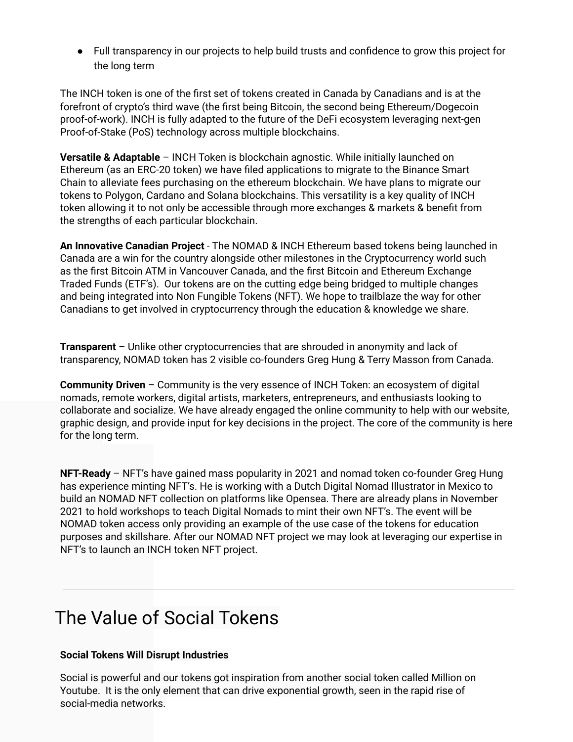● Full transparency in our projects to help build trusts and confidence to grow this project for the long term

The INCH token is one of the first set of tokens created in Canada by Canadians and is at the forefront of crypto's third wave (the first being Bitcoin, the second being Ethereum/Dogecoin proof-of-work). INCH is fully adapted to the future of the DeFi ecosystem leveraging next-gen Proof-of-Stake (PoS) technology across multiple blockchains.

**Versatile & Adaptable** – INCH Token is blockchain agnostic. While initially launched on Ethereum (as an ERC-20 token) we have filed applications to migrate to the Binance Smart Chain to alleviate fees purchasing on the ethereum blockchain. We have plans to migrate our tokens to Polygon, Cardano and Solana blockchains. This versatility is a key quality of INCH token allowing it to not only be accessible through more exchanges & markets & benefit from the strengths of each particular blockchain.

**An Innovative Canadian Project** - The NOMAD & INCH Ethereum based tokens being launched in Canada are a win for the country alongside other milestones in the Cryptocurrency world such as the first Bitcoin ATM in Vancouver Canada, and the first Bitcoin and Ethereum Exchange Traded Funds (ETF's). Our tokens are on the cutting edge being bridged to multiple changes and being integrated into Non Fungible Tokens (NFT). We hope to trailblaze the way for other Canadians to get involved in cryptocurrency through the education & knowledge we share.

**Transparent** – Unlike other cryptocurrencies that are shrouded in anonymity and lack of transparency, NOMAD token has 2 visible co-founders Greg Hung & Terry Masson from Canada.

**Community Driven** – Community is the very essence of INCH Token: an ecosystem of digital nomads, remote workers, digital artists, marketers, entrepreneurs, and enthusiasts looking to collaborate and socialize. We have already engaged the online community to help with our website, graphic design, and provide input for key decisions in the project. The core of the community is here for the long term.

**NFT-Ready** – NFT's have gained mass popularity in 2021 and nomad token co-founder Greg Hung has experience minting NFT's. He is working with a Dutch Digital Nomad Illustrator in Mexico to build an NOMAD NFT collection on platforms like Opensea. There are already plans in November 2021 to hold workshops to teach Digital Nomads to mint their own NFT's. The event will be NOMAD token access only providing an example of the use case of the tokens for education purposes and skillshare. After our NOMAD NFT project we may look at leveraging our expertise in NFT's to launch an INCH token NFT project.

### The Value of Social Tokens

#### **Social Tokens Will Disrupt Industries**

Social is powerful and our tokens got inspiration from another social token called Million on Youtube. It is the only element that can drive exponential growth, seen in the rapid rise of social-media networks.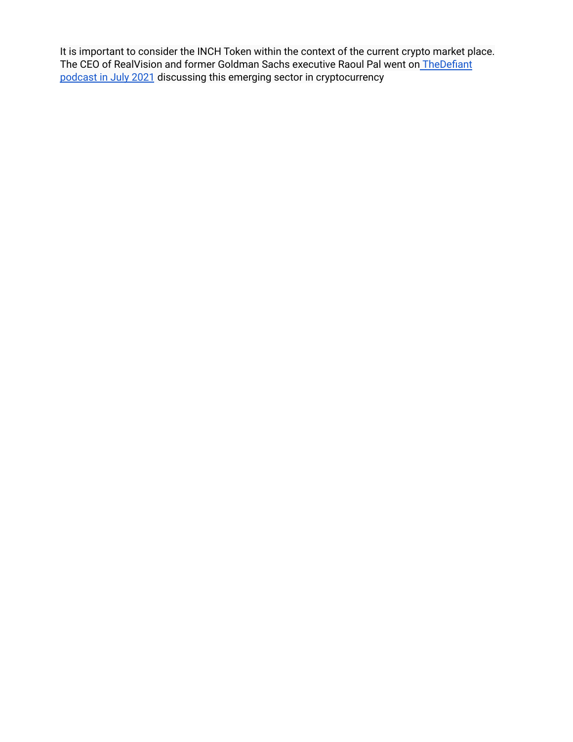It is important to consider the INCH Token within the context of the current crypto market place. The CEO of RealVision and former Goldman Sachs executive Raoul Pal went on [TheDefiant](https://youtu.be/B3Ml5y8pDjs) [podcast](https://youtu.be/B3Ml5y8pDjs) in July 2021 discussing this emerging sector in cryptocurrency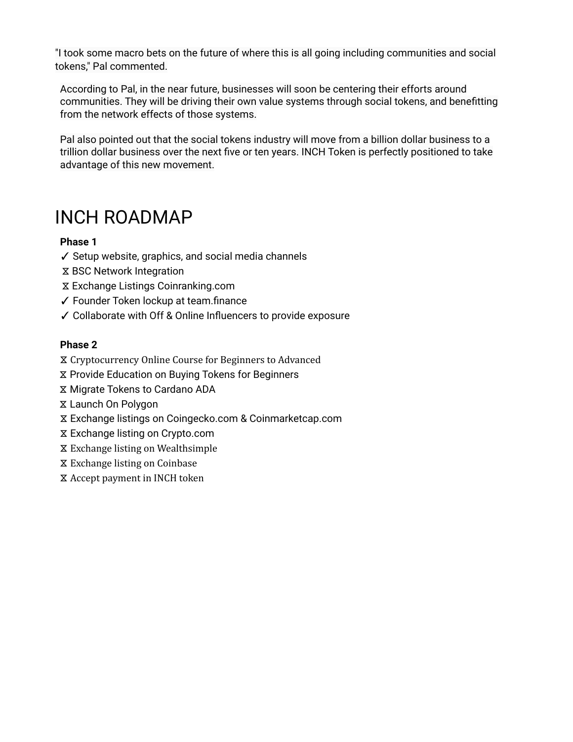"I took some macro bets on the future of where this is all going including communities and social tokens," Pal commented.

According to Pal, in the near future, businesses will soon be centering their efforts around communities. They will be driving their own value systems through social tokens, and benefitting from the network effects of those systems.

Pal also pointed out that the social tokens industry will move from a billion dollar business to a trillion dollar business over the next five or ten years. INCH Token is perfectly positioned to take advantage of this new movement.

### INCH ROADMAP

#### **Phase 1**

- ✓ Setup website, graphics, and social media channels
- ⧖ BSC Network Integration
- ⧖ Exchange Listings Coinranking.com
- ✓ Founder Token lockup at team.finance
- ✓ Collaborate with Off & Online Influencers to provide exposure

#### **Phase 2**

- ⧖ Cryptocurrency Online Course for Beginners to Advanced
- ⧖ Provide Education on Buying Tokens for Beginners
- ⧖ Migrate Tokens to Cardano ADA
- ⧖ Launch On Polygon
- ⧖ Exchange listings on Coingecko.com & Coinmarketcap.com
- ⧖ Exchange listing on Crypto.com
- ⧖ Exchange listing on Wealthsimple
- ⧖ Exchange listing on Coinbase
- ⧖ Accept payment in INCH token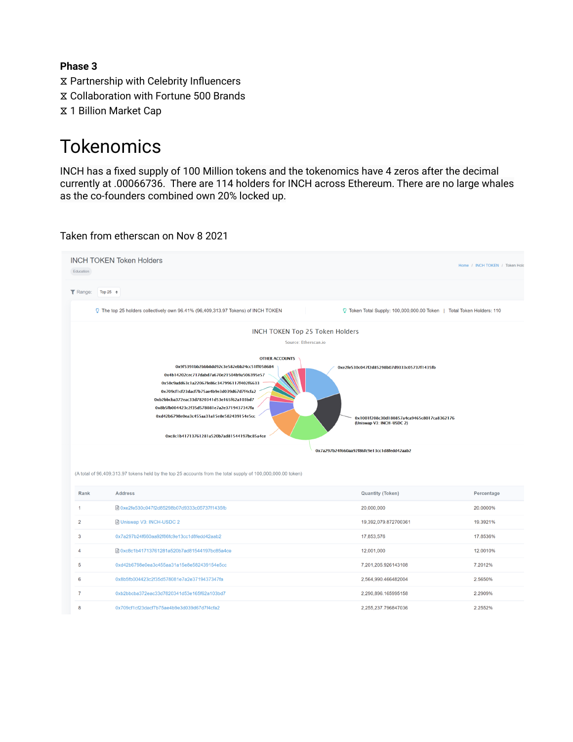#### **Phase 3**

- ⧖ Partnership with Celebrity Influencers
- ⧖ Collaboration with Fortune 500 Brands
- ⧖ 1 Billion Market Cap

### Tokenomics

INCH has a fixed supply of 100 Million tokens and the tokenomics have 4 zeros after the decimal currently at .00066736. There are 114 holders for INCH across Ethereum. There are no large whales as the co-founders combined own 20% locked up.

#### Taken from etherscan on Nov 8 2021

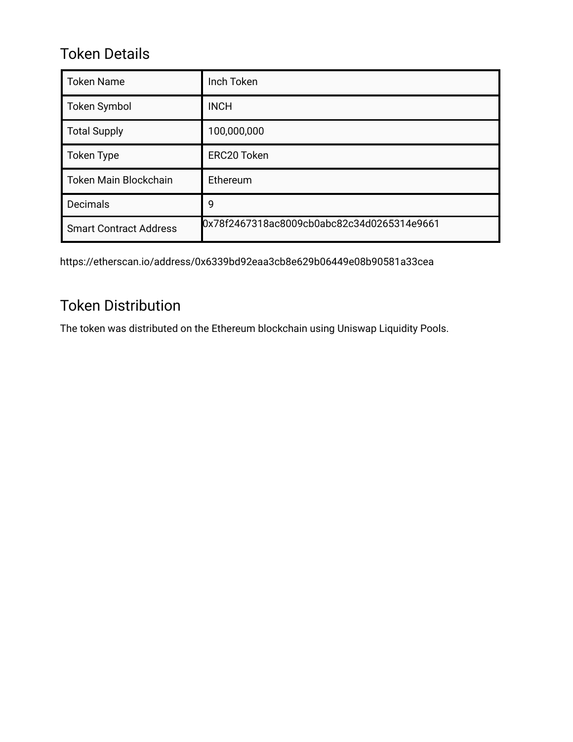### Token Details

| <b>Token Name</b>             | Inch Token                                 |
|-------------------------------|--------------------------------------------|
| <b>Token Symbol</b>           | <b>INCH</b>                                |
| <b>Total Supply</b>           | 100,000,000                                |
| Token Type                    | ERC20 Token                                |
| <b>Token Main Blockchain</b>  | Ethereum                                   |
| Decimals                      | 9                                          |
| <b>Smart Contract Address</b> | 0x78f2467318ac8009cb0abc82c34d0265314e9661 |

https://etherscan.io/address/0x6339bd92eaa3cb8e629b06449e08b90581a33cea

### Token Distribution

The token was distributed on the Ethereum blockchain using Uniswap Liquidity Pools.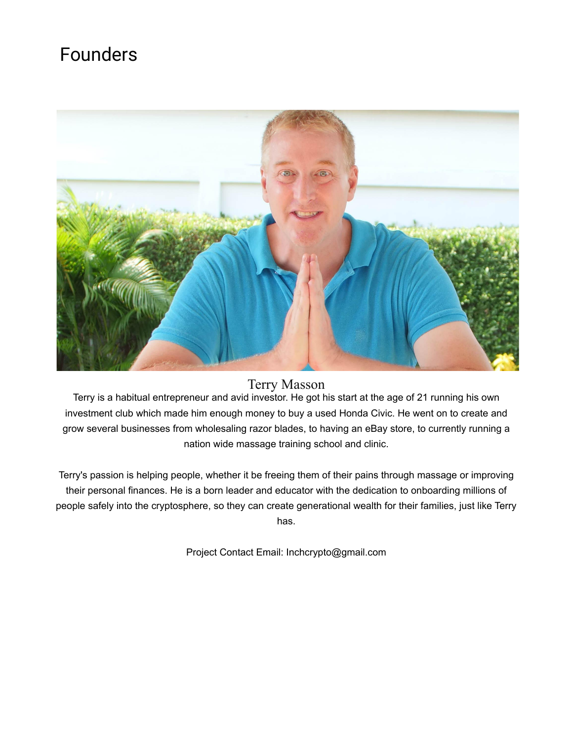### Founders



#### Terry Masson

Terry is a habitual entrepreneur and avid investor. He got his start at the age of 21 running his own investment club which made him enough money to buy a used Honda Civic. He went on to create and grow several businesses from wholesaling razor blades, to having an eBay store, to currently running a nation wide massage training school and clinic.

Terry's passion is helping people, whether it be freeing them of their pains through massage or improving their personal finances. He is a born leader and educator with the dedication to onboarding millions of people safely into the cryptosphere, so they can create generational wealth for their families, just like Terry has.

Project Contact Email: Inchcrypto@gmail.com